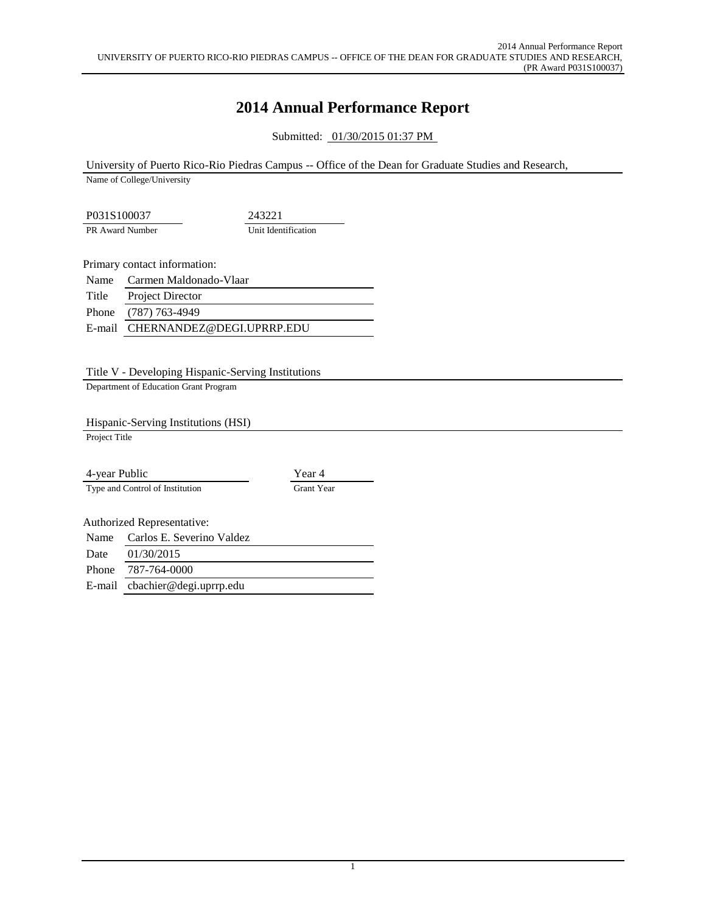# **2014 Annual Performance Report**

Submitted: 01/30/2015 01:37 PM

University of Puerto Rico-Rio Piedras Campus -- Office of the Dean for Graduate Studies and Research,

Name of College/University

P031S100037 243221 PR Award Number Unit Identification

Primary contact information:

Name Carmen Maldonado-Vlaar Title Project Director Phone (787) 763-4949 E-mail CHERNANDEZ@DEGI.UPRRP.EDU

Title V - Developing Hispanic-Serving Institutions

Department of Education Grant Program

Hispanic-Serving Institutions (HSI)

Project Title

4-year Public Year 4 Type and Control of Institution Grant Year

Authorized Representative:

Name Carlos E. Severino Valdez Date 01/30/2015

Phone 787-764-0000

E-mail cbachier@degi.uprrp.edu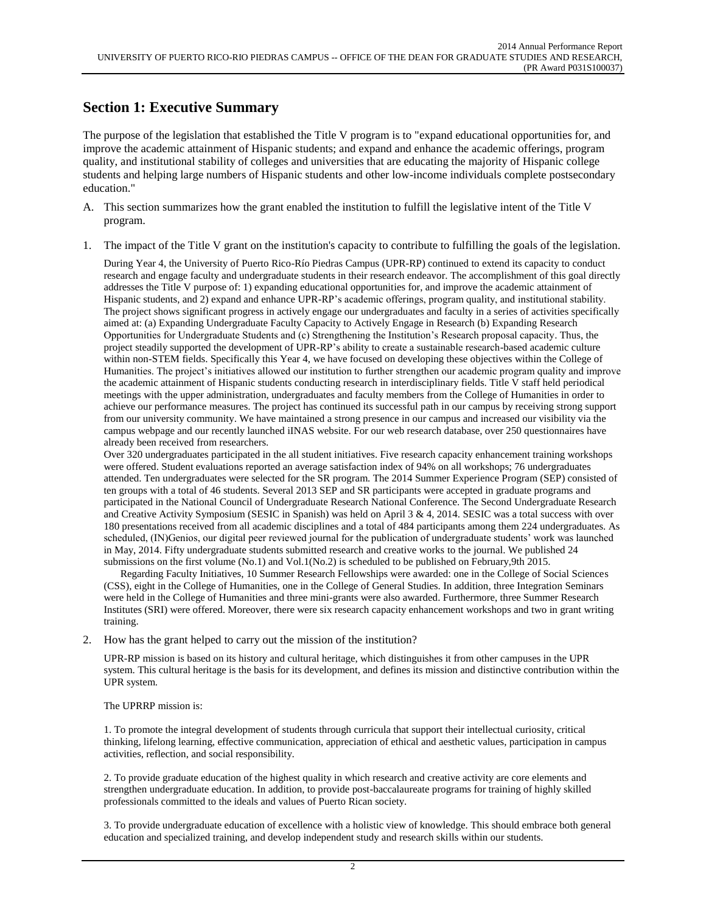### **Section 1: Executive Summary**

The purpose of the legislation that established the Title V program is to "expand educational opportunities for, and improve the academic attainment of Hispanic students; and expand and enhance the academic offerings, program quality, and institutional stability of colleges and universities that are educating the majority of Hispanic college students and helping large numbers of Hispanic students and other low-income individuals complete postsecondary education."

- A. This section summarizes how the grant enabled the institution to fulfill the legislative intent of the Title V program.
- 1. The impact of the Title V grant on the institution's capacity to contribute to fulfilling the goals of the legislation.

During Year 4, the University of Puerto Rico-Río Piedras Campus (UPR-RP) continued to extend its capacity to conduct research and engage faculty and undergraduate students in their research endeavor. The accomplishment of this goal directly addresses the Title V purpose of: 1) expanding educational opportunities for, and improve the academic attainment of Hispanic students, and 2) expand and enhance UPR-RP's academic offerings, program quality, and institutional stability. The project shows significant progress in actively engage our undergraduates and faculty in a series of activities specifically aimed at: (a) Expanding Undergraduate Faculty Capacity to Actively Engage in Research (b) Expanding Research Opportunities for Undergraduate Students and (c) Strengthening the Institution's Research proposal capacity. Thus, the project steadily supported the development of UPR-RP's ability to create a sustainable research-based academic culture within non-STEM fields. Specifically this Year 4, we have focused on developing these objectives within the College of Humanities. The project's initiatives allowed our institution to further strengthen our academic program quality and improve the academic attainment of Hispanic students conducting research in interdisciplinary fields. Title V staff held periodical meetings with the upper administration, undergraduates and faculty members from the College of Humanities in order to achieve our performance measures. The project has continued its successful path in our campus by receiving strong support from our university community. We have maintained a strong presence in our campus and increased our visibility via the campus webpage and our recently launched iINAS website. For our web research database, over 250 questionnaires have already been received from researchers.

Over 320 undergraduates participated in the all student initiatives. Five research capacity enhancement training workshops were offered. Student evaluations reported an average satisfaction index of 94% on all workshops; 76 undergraduates attended. Ten undergraduates were selected for the SR program. The 2014 Summer Experience Program (SEP) consisted of ten groups with a total of 46 students. Several 2013 SEP and SR participants were accepted in graduate programs and participated in the National Council of Undergraduate Research National Conference. The Second Undergraduate Research and Creative Activity Symposium (SESIC in Spanish) was held on April 3 & 4, 2014. SESIC was a total success with over 180 presentations received from all academic disciplines and a total of 484 participants among them 224 undergraduates. As scheduled, (IN)Genios, our digital peer reviewed journal for the publication of undergraduate students' work was launched in May, 2014. Fifty undergraduate students submitted research and creative works to the journal. We published 24 submissions on the first volume (No.1) and Vol.1(No.2) is scheduled to be published on February,9th 2015.

 Regarding Faculty Initiatives, 10 Summer Research Fellowships were awarded: one in the College of Social Sciences (CSS), eight in the College of Humanities, one in the College of General Studies. In addition, three Integration Seminars were held in the College of Humanities and three mini-grants were also awarded. Furthermore, three Summer Research Institutes (SRI) were offered. Moreover, there were six research capacity enhancement workshops and two in grant writing training.

2. How has the grant helped to carry out the mission of the institution?

UPR-RP mission is based on its history and cultural heritage, which distinguishes it from other campuses in the UPR system. This cultural heritage is the basis for its development, and defines its mission and distinctive contribution within the UPR system.

#### The UPRRP mission is:

1. To promote the integral development of students through curricula that support their intellectual curiosity, critical thinking, lifelong learning, effective communication, appreciation of ethical and aesthetic values, participation in campus activities, reflection, and social responsibility.

2. To provide graduate education of the highest quality in which research and creative activity are core elements and strengthen undergraduate education. In addition, to provide post-baccalaureate programs for training of highly skilled professionals committed to the ideals and values of Puerto Rican society.

3. To provide undergraduate education of excellence with a holistic view of knowledge. This should embrace both general education and specialized training, and develop independent study and research skills within our students.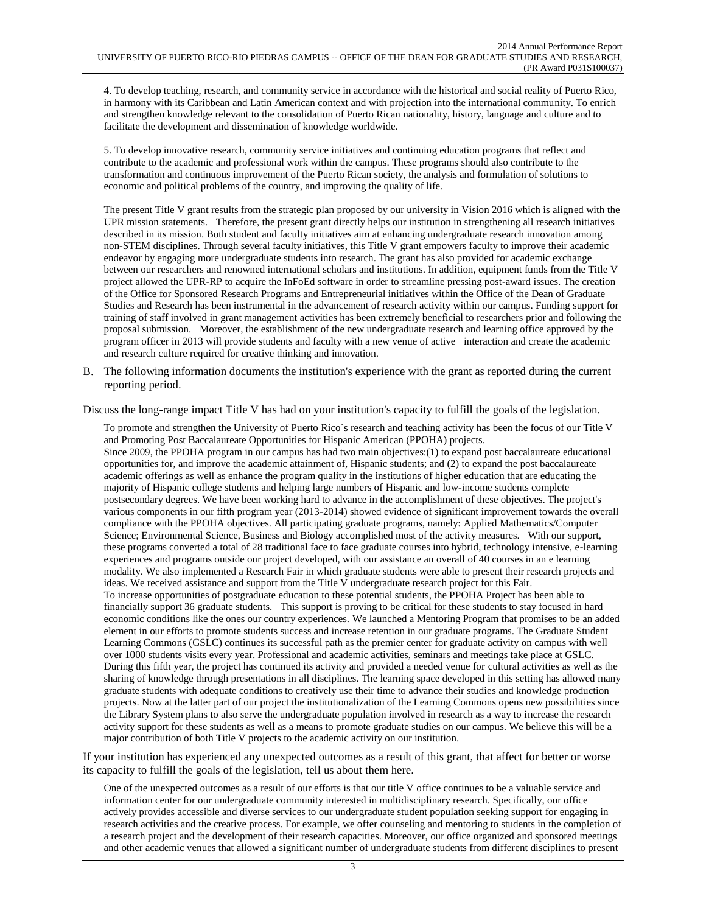4. To develop teaching, research, and community service in accordance with the historical and social reality of Puerto Rico, in harmony with its Caribbean and Latin American context and with projection into the international community. To enrich and strengthen knowledge relevant to the consolidation of Puerto Rican nationality, history, language and culture and to facilitate the development and dissemination of knowledge worldwide.

5. To develop innovative research, community service initiatives and continuing education programs that reflect and contribute to the academic and professional work within the campus. These programs should also contribute to the transformation and continuous improvement of the Puerto Rican society, the analysis and formulation of solutions to economic and political problems of the country, and improving the quality of life.

The present Title V grant results from the strategic plan proposed by our university in Vision 2016 which is aligned with the UPR mission statements. Therefore, the present grant directly helps our institution in strengthening all research initiatives described in its mission. Both student and faculty initiatives aim at enhancing undergraduate research innovation among non-STEM disciplines. Through several faculty initiatives, this Title V grant empowers faculty to improve their academic endeavor by engaging more undergraduate students into research. The grant has also provided for academic exchange between our researchers and renowned international scholars and institutions. In addition, equipment funds from the Title V project allowed the UPR-RP to acquire the InFoEd software in order to streamline pressing post-award issues. The creation of the Office for Sponsored Research Programs and Entrepreneurial initiatives within the Office of the Dean of Graduate Studies and Research has been instrumental in the advancement of research activity within our campus. Funding support for training of staff involved in grant management activities has been extremely beneficial to researchers prior and following the proposal submission. Moreover, the establishment of the new undergraduate research and learning office approved by the program officer in 2013 will provide students and faculty with a new venue of active interaction and create the academic and research culture required for creative thinking and innovation.

B. The following information documents the institution's experience with the grant as reported during the current reporting period.

Discuss the long-range impact Title V has had on your institution's capacity to fulfill the goals of the legislation.

To promote and strengthen the University of Puerto Rico´s research and teaching activity has been the focus of our Title V and Promoting Post Baccalaureate Opportunities for Hispanic American (PPOHA) projects. Since 2009, the PPOHA program in our campus has had two main objectives:(1) to expand post baccalaureate educational opportunities for, and improve the academic attainment of, Hispanic students; and (2) to expand the post baccalaureate academic offerings as well as enhance the program quality in the institutions of higher education that are educating the majority of Hispanic college students and helping large numbers of Hispanic and low-income students complete postsecondary degrees. We have been working hard to advance in the accomplishment of these objectives. The project's various components in our fifth program year (2013-2014) showed evidence of significant improvement towards the overall compliance with the PPOHA objectives. All participating graduate programs, namely: Applied Mathematics/Computer Science; Environmental Science, Business and Biology accomplished most of the activity measures. With our support, these programs converted a total of 28 traditional face to face graduate courses into hybrid, technology intensive, e-learning experiences and programs outside our project developed, with our assistance an overall of 40 courses in an e learning modality. We also implemented a Research Fair in which graduate students were able to present their research projects and ideas. We received assistance and support from the Title V undergraduate research project for this Fair. To increase opportunities of postgraduate education to these potential students, the PPOHA Project has been able to financially support 36 graduate students. This support is proving to be critical for these students to stay focused in hard economic conditions like the ones our country experiences. We launched a Mentoring Program that promises to be an added element in our efforts to promote students success and increase retention in our graduate programs. The Graduate Student Learning Commons (GSLC) continues its successful path as the premier center for graduate activity on campus with well over 1000 students visits every year. Professional and academic activities, seminars and meetings take place at GSLC. During this fifth year, the project has continued its activity and provided a needed venue for cultural activities as well as the sharing of knowledge through presentations in all disciplines. The learning space developed in this setting has allowed many graduate students with adequate conditions to creatively use their time to advance their studies and knowledge production projects. Now at the latter part of our project the institutionalization of the Learning Commons opens new possibilities since the Library System plans to also serve the undergraduate population involved in research as a way to increase the research activity support for these students as well as a means to promote graduate studies on our campus. We believe this will be a major contribution of both Title V projects to the academic activity on our institution.

If your institution has experienced any unexpected outcomes as a result of this grant, that affect for better or worse its capacity to fulfill the goals of the legislation, tell us about them here.

One of the unexpected outcomes as a result of our efforts is that our title V office continues to be a valuable service and information center for our undergraduate community interested in multidisciplinary research. Specifically, our office actively provides accessible and diverse services to our undergraduate student population seeking support for engaging in research activities and the creative process. For example, we offer counseling and mentoring to students in the completion of a research project and the development of their research capacities. Moreover, our office organized and sponsored meetings and other academic venues that allowed a significant number of undergraduate students from different disciplines to present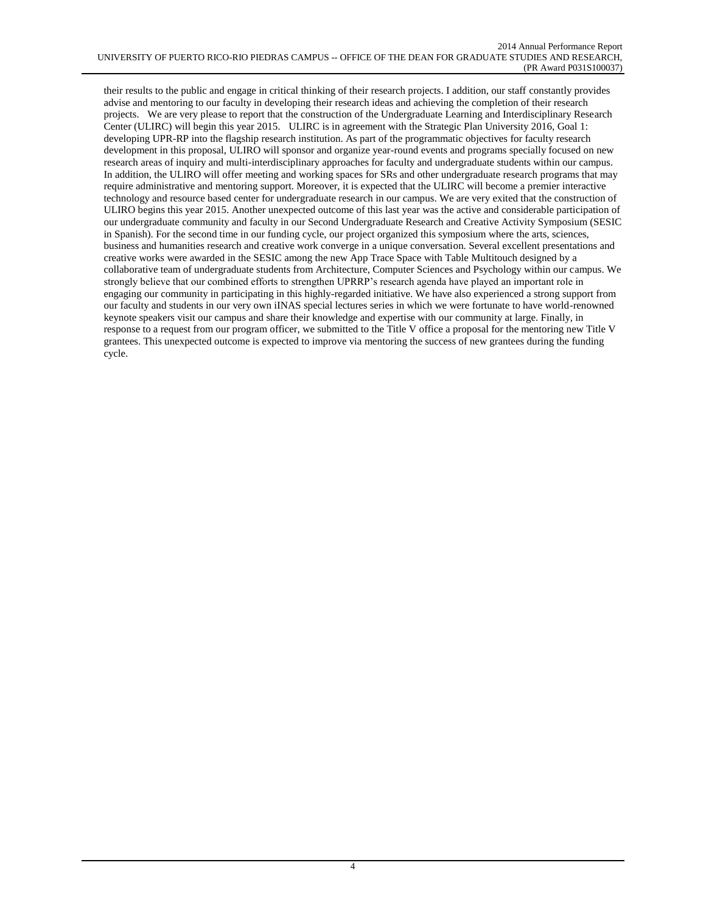their results to the public and engage in critical thinking of their research projects. I addition, our staff constantly provides advise and mentoring to our faculty in developing their research ideas and achieving the completion of their research projects. We are very please to report that the construction of the Undergraduate Learning and Interdisciplinary Research Center (ULIRC) will begin this year 2015. ULIRC is in agreement with the Strategic Plan University 2016, Goal 1: developing UPR-RP into the flagship research institution. As part of the programmatic objectives for faculty research development in this proposal, ULIRO will sponsor and organize year-round events and programs specially focused on new research areas of inquiry and multi-interdisciplinary approaches for faculty and undergraduate students within our campus. In addition, the ULIRO will offer meeting and working spaces for SRs and other undergraduate research programs that may require administrative and mentoring support. Moreover, it is expected that the ULIRC will become a premier interactive technology and resource based center for undergraduate research in our campus. We are very exited that the construction of ULIRO begins this year 2015. Another unexpected outcome of this last year was the active and considerable participation of our undergraduate community and faculty in our Second Undergraduate Research and Creative Activity Symposium (SESIC in Spanish). For the second time in our funding cycle, our project organized this symposium where the arts, sciences, business and humanities research and creative work converge in a unique conversation. Several excellent presentations and creative works were awarded in the SESIC among the new App Trace Space with Table Multitouch designed by a collaborative team of undergraduate students from Architecture, Computer Sciences and Psychology within our campus. We strongly believe that our combined efforts to strengthen UPRRP's research agenda have played an important role in engaging our community in participating in this highly-regarded initiative. We have also experienced a strong support from our faculty and students in our very own iINAS special lectures series in which we were fortunate to have world-renowned keynote speakers visit our campus and share their knowledge and expertise with our community at large. Finally, in response to a request from our program officer, we submitted to the Title V office a proposal for the mentoring new Title V grantees. This unexpected outcome is expected to improve via mentoring the success of new grantees during the funding cycle.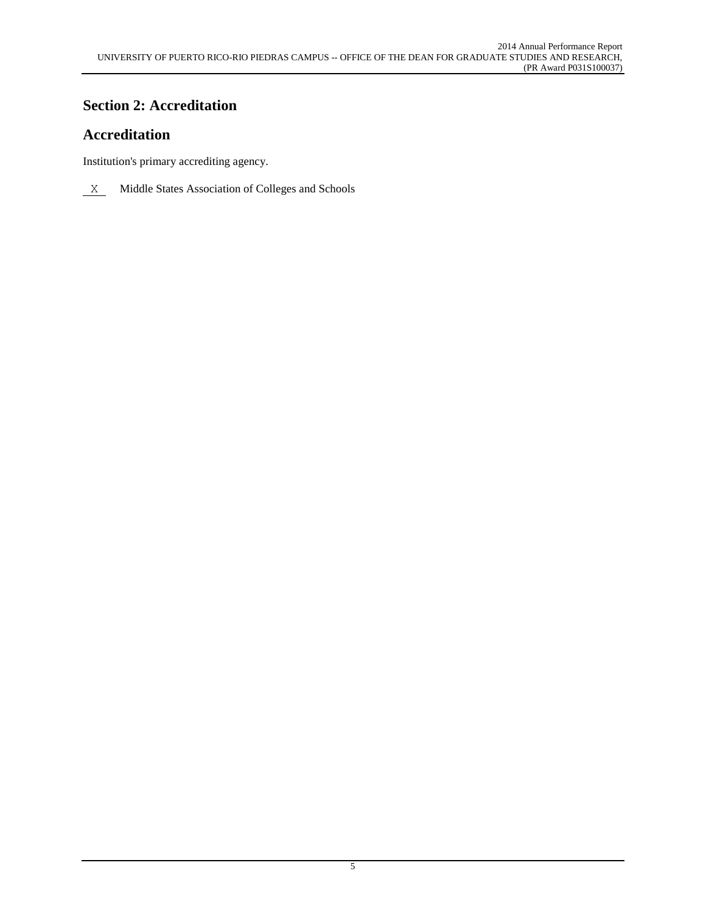# **Section 2: Accreditation**

# **Accreditation**

Institution's primary accrediting agency.

 $X$  Middle States Association of Colleges and Schools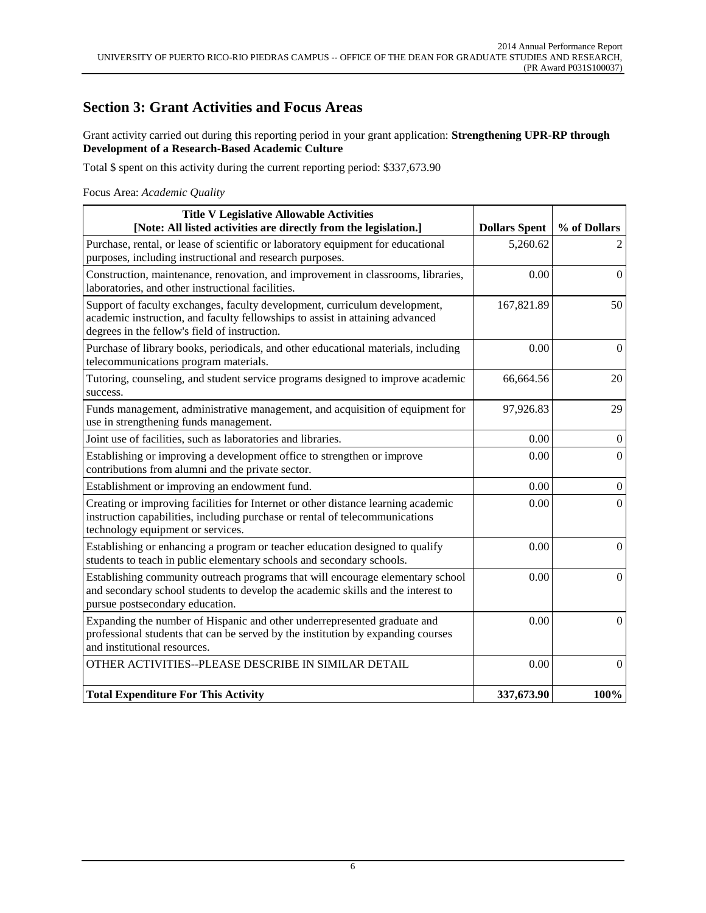## **Section 3: Grant Activities and Focus Areas**

Grant activity carried out during this reporting period in your grant application: **Strengthening UPR-RP through Development of a Research-Based Academic Culture**

Total \$ spent on this activity during the current reporting period: \$337,673.90

Focus Area: *Academic Quality*

| <b>Title V Legislative Allowable Activities</b><br>[Note: All listed activities are directly from the legislation.]                                                                                          | <b>Dollars Spent</b> | % of Dollars     |
|--------------------------------------------------------------------------------------------------------------------------------------------------------------------------------------------------------------|----------------------|------------------|
| Purchase, rental, or lease of scientific or laboratory equipment for educational<br>purposes, including instructional and research purposes.                                                                 | 5,260.62             | $\overline{2}$   |
| Construction, maintenance, renovation, and improvement in classrooms, libraries,<br>laboratories, and other instructional facilities.                                                                        | 0.00                 | $\mathbf{0}$     |
| Support of faculty exchanges, faculty development, curriculum development,<br>academic instruction, and faculty fellowships to assist in attaining advanced<br>degrees in the fellow's field of instruction. | 167,821.89           | 50               |
| Purchase of library books, periodicals, and other educational materials, including<br>telecommunications program materials.                                                                                  | 0.00                 | $\overline{0}$   |
| Tutoring, counseling, and student service programs designed to improve academic<br>success.                                                                                                                  | 66,664.56            | 20               |
| Funds management, administrative management, and acquisition of equipment for<br>use in strengthening funds management.                                                                                      | 97,926.83            | 29               |
| Joint use of facilities, such as laboratories and libraries.                                                                                                                                                 | 0.00                 | $\overline{0}$   |
| Establishing or improving a development office to strengthen or improve<br>contributions from alumni and the private sector.                                                                                 | 0.00                 | $\boldsymbol{0}$ |
| Establishment or improving an endowment fund.                                                                                                                                                                | 0.00                 | $\overline{0}$   |
| Creating or improving facilities for Internet or other distance learning academic<br>instruction capabilities, including purchase or rental of telecommunications<br>technology equipment or services.       | 0.00                 | $\overline{0}$   |
| Establishing or enhancing a program or teacher education designed to qualify<br>students to teach in public elementary schools and secondary schools.                                                        | 0.00                 | $\boldsymbol{0}$ |
| Establishing community outreach programs that will encourage elementary school<br>and secondary school students to develop the academic skills and the interest to<br>pursue postsecondary education.        | 0.00                 | $\boldsymbol{0}$ |
| Expanding the number of Hispanic and other underrepresented graduate and<br>professional students that can be served by the institution by expanding courses<br>and institutional resources.                 | 0.00                 | $\overline{0}$   |
| OTHER ACTIVITIES--PLEASE DESCRIBE IN SIMILAR DETAIL                                                                                                                                                          | 0.00                 | $\Omega$         |
| <b>Total Expenditure For This Activity</b>                                                                                                                                                                   | 337,673.90           | 100%             |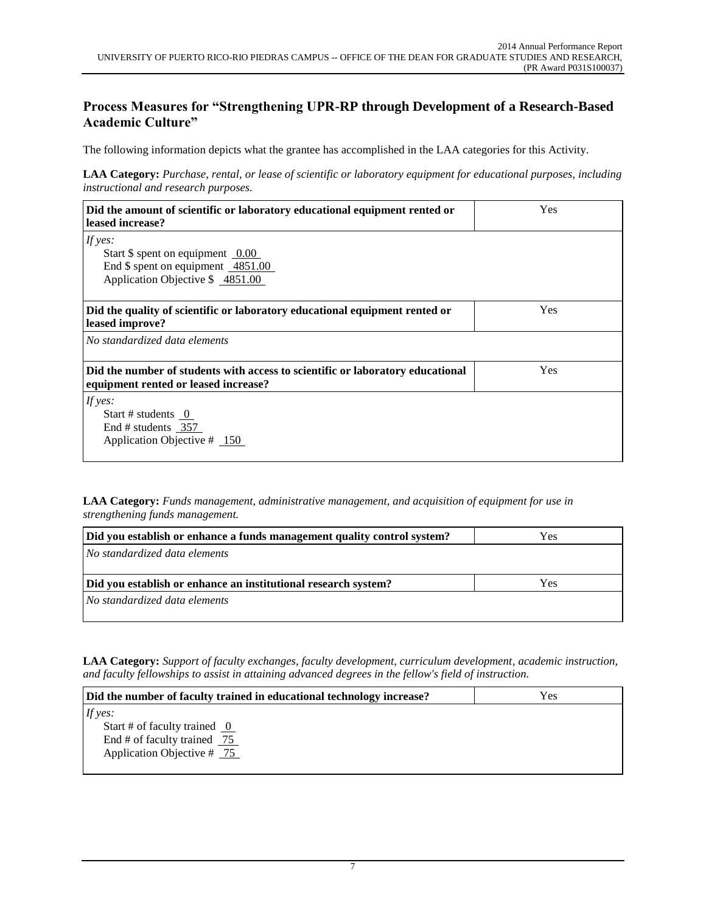### **Process Measures for "Strengthening UPR-RP through Development of a Research-Based Academic Culture"**

The following information depicts what the grantee has accomplished in the LAA categories for this Activity.

**LAA Category:** *Purchase, rental, or lease of scientific or laboratory equipment for educational purposes, including instructional and research purposes.*

| Did the amount of scientific or laboratory educational equipment rented or<br>leased increase?                         | Yes |
|------------------------------------------------------------------------------------------------------------------------|-----|
| If yes:                                                                                                                |     |
| Start $\$$ spent on equipment 0.00                                                                                     |     |
| End \$ spent on equipment 4851.00                                                                                      |     |
| Application Objective \$ 4851.00                                                                                       |     |
|                                                                                                                        |     |
| Did the quality of scientific or laboratory educational equipment rented or<br>leased improve?                         | Yes |
| No standardized data elements                                                                                          |     |
| Did the number of students with access to scientific or laboratory educational<br>equipment rented or leased increase? | Yes |
| If yes:                                                                                                                |     |
| Start # students $0$                                                                                                   |     |
| End # students 357                                                                                                     |     |
| Application Objective $\#$ 150                                                                                         |     |
|                                                                                                                        |     |

**LAA Category:** *Funds management, administrative management, and acquisition of equipment for use in strengthening funds management.*

| Did you establish or enhance a funds management quality control system? | Yes |
|-------------------------------------------------------------------------|-----|
| No standardized data elements                                           |     |
|                                                                         |     |
| Did you establish or enhance an institutional research system?          | Yes |
| No standardized data elements                                           |     |
|                                                                         |     |

**LAA Category:** *Support of faculty exchanges, faculty development, curriculum development, academic instruction, and faculty fellowships to assist in attaining advanced degrees in the fellow's field of instruction.*

| Did the number of faculty trained in educational technology increase? | Yes |
|-----------------------------------------------------------------------|-----|
| If yes:                                                               |     |
| Start # of faculty trained $\theta$                                   |     |
| End # of faculty trained $\frac{75}{2}$                               |     |
| Application Objective $# 75$                                          |     |
|                                                                       |     |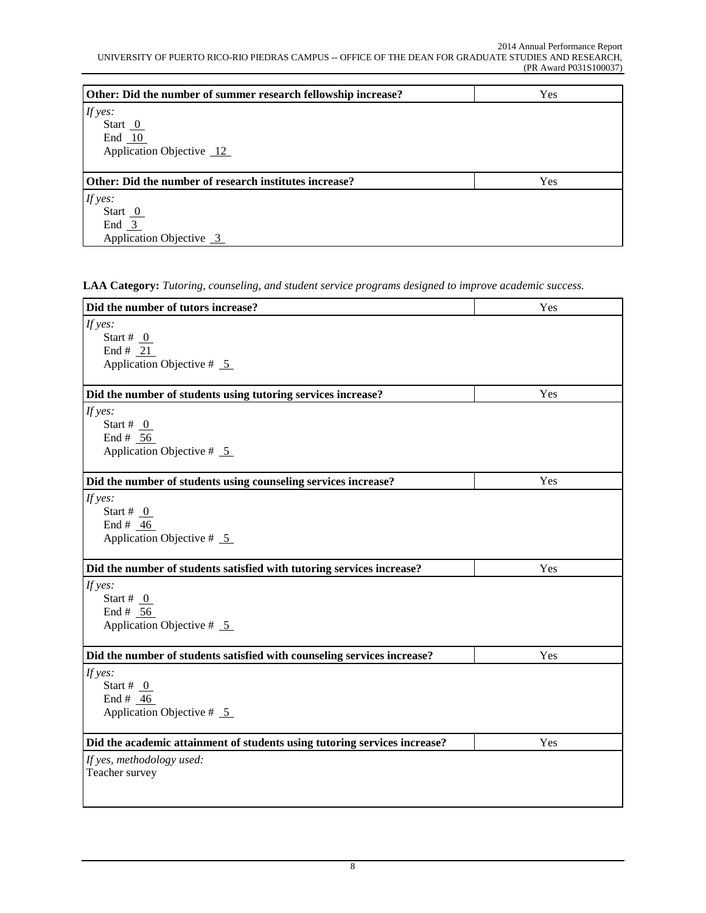| Other: Did the number of summer research fellowship increase? | Yes |
|---------------------------------------------------------------|-----|
| If yes:                                                       |     |
| Start $0$                                                     |     |
| End $10$                                                      |     |
| Application Objective 12                                      |     |
|                                                               |     |
| Other: Did the number of research institutes increase?        | Yes |
| If yes:                                                       |     |
| Start $0$                                                     |     |
| End $3$                                                       |     |
| Application Objective 3                                       |     |

**LAA Category:** *Tutoring, counseling, and student service programs designed to improve academic success.*

| Did the number of tutors increase?                                        | Yes |
|---------------------------------------------------------------------------|-----|
| If yes:                                                                   |     |
| Start # $_0$                                                              |     |
| End # $21$                                                                |     |
| Application Objective $# 5$                                               |     |
|                                                                           |     |
| Did the number of students using tutoring services increase?              | Yes |
| If yes:                                                                   |     |
| Start # $_0$                                                              |     |
| End # $56$                                                                |     |
| Application Objective $# 5$                                               |     |
|                                                                           | Yes |
| Did the number of students using counseling services increase?            |     |
| If yes:                                                                   |     |
| Start # $_0$                                                              |     |
| End # $46$                                                                |     |
| Application Objective $# 5$                                               |     |
| Did the number of students satisfied with tutoring services increase?     | Yes |
| If yes:                                                                   |     |
| Start # $_0$                                                              |     |
| End # 56                                                                  |     |
| Application Objective $# 5$                                               |     |
| Did the number of students satisfied with counseling services increase?   | Yes |
| If yes:                                                                   |     |
| Start # $_0$                                                              |     |
| End # $46$                                                                |     |
| Application Objective $# 5$                                               |     |
|                                                                           |     |
| Did the academic attainment of students using tutoring services increase? | Yes |
| If yes, methodology used:                                                 |     |
| Teacher survey                                                            |     |
|                                                                           |     |
|                                                                           |     |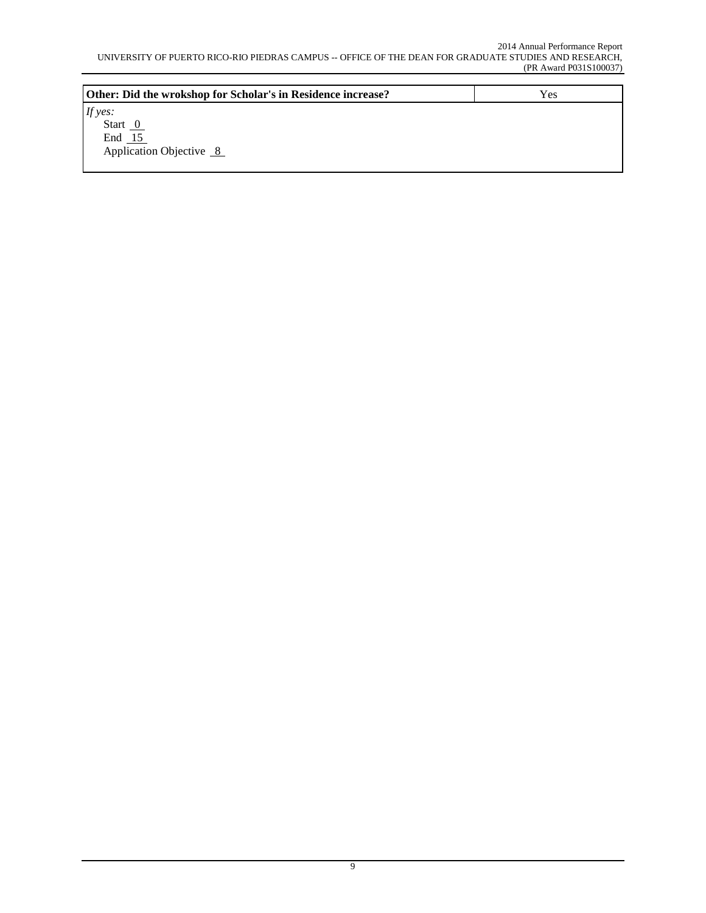| Other: Did the wrokshop for Scholar's in Residence increase? | Yes |
|--------------------------------------------------------------|-----|
| If yes:                                                      |     |
| Start $0$                                                    |     |
| End $15$                                                     |     |
| Application Objective 8                                      |     |
|                                                              |     |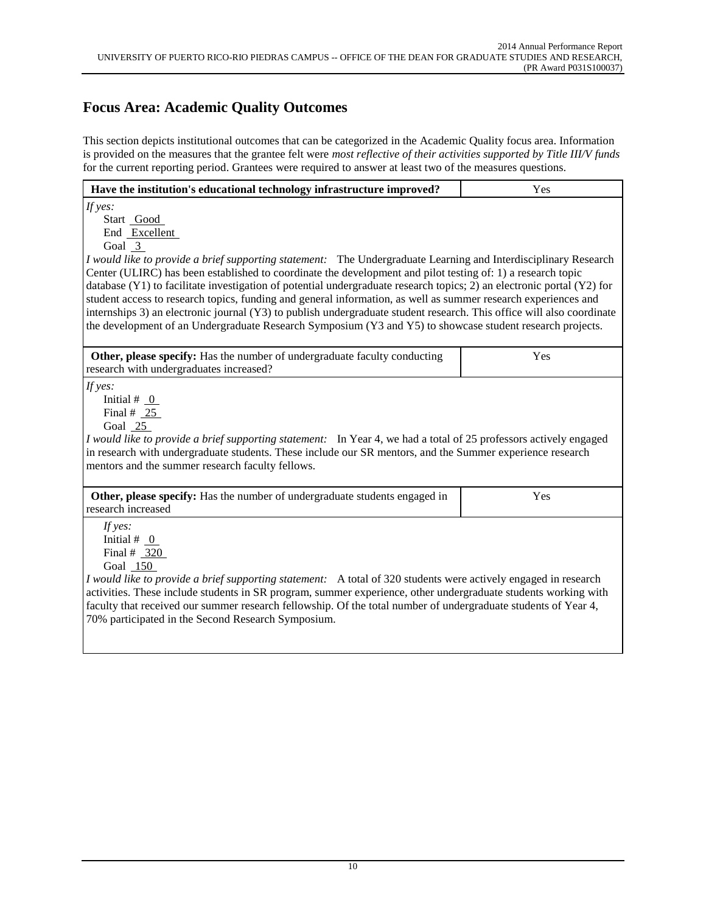# **Focus Area: Academic Quality Outcomes**

This section depicts institutional outcomes that can be categorized in the Academic Quality focus area. Information is provided on the measures that the grantee felt were *most reflective of their activities supported by Title III/V funds* for the current reporting period. Grantees were required to answer at least two of the measures questions.

| Have the institution's educational technology infrastructure improved?                                                                                                                                                                                                                                                                                                                                                                                                                                                                                                                                                                                                                                                                                                 | Yes |  |  |
|------------------------------------------------------------------------------------------------------------------------------------------------------------------------------------------------------------------------------------------------------------------------------------------------------------------------------------------------------------------------------------------------------------------------------------------------------------------------------------------------------------------------------------------------------------------------------------------------------------------------------------------------------------------------------------------------------------------------------------------------------------------------|-----|--|--|
| If yes:<br>Start Good<br>End Excellent<br>Goal $3$<br>I would like to provide a brief supporting statement: The Undergraduate Learning and Interdisciplinary Research<br>Center (ULIRC) has been established to coordinate the development and pilot testing of: 1) a research topic<br>database (Y1) to facilitate investigation of potential undergraduate research topics; 2) an electronic portal (Y2) for<br>student access to research topics, funding and general information, as well as summer research experiences and<br>internships 3) an electronic journal (Y3) to publish undergraduate student research. This office will also coordinate<br>the development of an Undergraduate Research Symposium (Y3 and Y5) to showcase student research projects. |     |  |  |
| Other, please specify: Has the number of undergraduate faculty conducting<br>research with undergraduates increased?                                                                                                                                                                                                                                                                                                                                                                                                                                                                                                                                                                                                                                                   | Yes |  |  |
| If $yes:$<br>Initial # $_0$<br>Final # $25$<br>Goal 25<br>I would like to provide a brief supporting statement: In Year 4, we had a total of 25 professors actively engaged<br>in research with undergraduate students. These include our SR mentors, and the Summer experience research<br>mentors and the summer research faculty fellows.                                                                                                                                                                                                                                                                                                                                                                                                                           |     |  |  |
| Other, please specify: Has the number of undergraduate students engaged in<br>research increased                                                                                                                                                                                                                                                                                                                                                                                                                                                                                                                                                                                                                                                                       | Yes |  |  |
| If $yes:$<br>Initial # $_0$<br>Final # $320$<br>Goal 150<br>I would like to provide a brief supporting statement: A total of 320 students were actively engaged in research<br>activities. These include students in SR program, summer experience, other undergraduate students working with<br>faculty that received our summer research fellowship. Of the total number of undergraduate students of Year 4,<br>70% participated in the Second Research Symposium.                                                                                                                                                                                                                                                                                                  |     |  |  |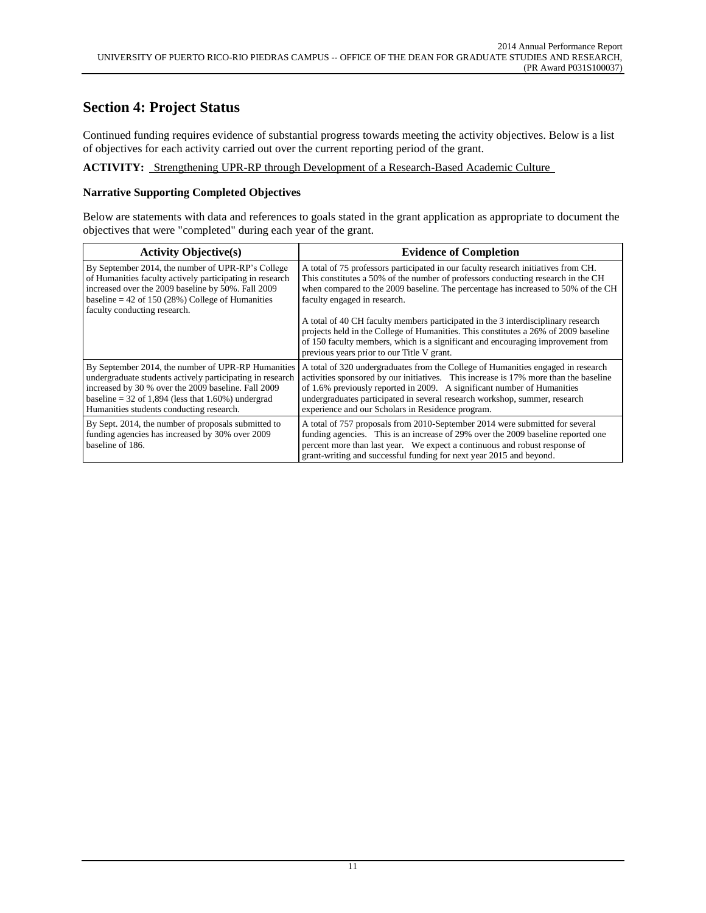### **Section 4: Project Status**

Continued funding requires evidence of substantial progress towards meeting the activity objectives. Below is a list of objectives for each activity carried out over the current reporting period of the grant.

**ACTIVITY:** Strengthening UPR-RP through Development of a Research-Based Academic Culture

### **Narrative Supporting Completed Objectives**

Below are statements with data and references to goals stated in the grant application as appropriate to document the objectives that were "completed" during each year of the grant.

| <b>Activity Objective(s)</b>                                                                                                                                                                                                                                               | <b>Evidence of Completion</b>                                                                                                                                                                                                                                                                                                                                                          |
|----------------------------------------------------------------------------------------------------------------------------------------------------------------------------------------------------------------------------------------------------------------------------|----------------------------------------------------------------------------------------------------------------------------------------------------------------------------------------------------------------------------------------------------------------------------------------------------------------------------------------------------------------------------------------|
| By September 2014, the number of UPR-RP's College<br>of Humanities faculty actively participating in research<br>increased over the 2009 baseline by 50%. Fall 2009<br>baseline = $42$ of 150 (28%) College of Humanities<br>faculty conducting research.                  | A total of 75 professors participated in our faculty research initiatives from CH.<br>This constitutes a 50% of the number of professors conducting research in the CH<br>when compared to the 2009 baseline. The percentage has increased to 50% of the CH<br>faculty engaged in research.                                                                                            |
|                                                                                                                                                                                                                                                                            | A total of 40 CH faculty members participated in the 3 interdisciplinary research<br>projects held in the College of Humanities. This constitutes a 26% of 2009 baseline<br>of 150 faculty members, which is a significant and encouraging improvement from<br>previous years prior to our Title V grant.                                                                              |
| By September 2014, the number of UPR-RP Humanities<br>undergraduate students actively participating in research<br>increased by 30 % over the 2009 baseline. Fall 2009<br>baseline = $32$ of 1,894 (less that 1.60%) undergrad<br>Humanities students conducting research. | A total of 320 undergraduates from the College of Humanities engaged in research<br>activities sponsored by our initiatives. This increase is 17% more than the baseline<br>of 1.6% previously reported in 2009. A significant number of Humanities<br>undergraduates participated in several research workshop, summer, research<br>experience and our Scholars in Residence program. |
| By Sept. 2014, the number of proposals submitted to<br>funding agencies has increased by 30% over 2009<br>baseline of 186.                                                                                                                                                 | A total of 757 proposals from 2010-September 2014 were submitted for several<br>funding agencies. This is an increase of 29% over the 2009 baseline reported one<br>percent more than last year. We expect a continuous and robust response of<br>grant-writing and successful funding for next year 2015 and beyond.                                                                  |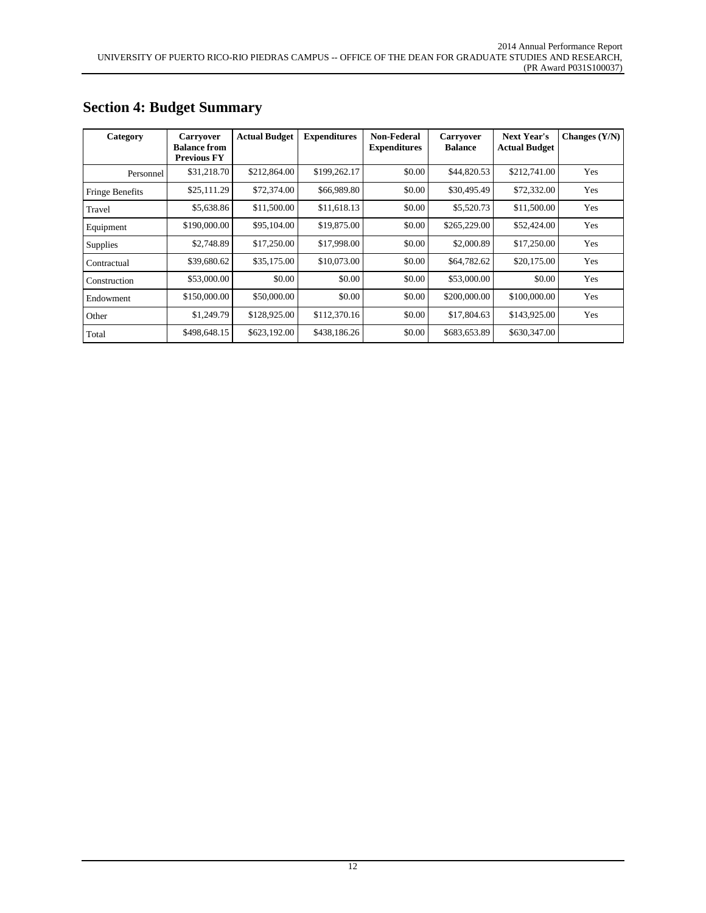| Category        | <b>Carryover</b><br><b>Balance from</b><br><b>Previous FY</b> | <b>Actual Budget</b> | <b>Expenditures</b> | Non-Federal<br><b>Expenditures</b> | <b>Carryover</b><br><b>Balance</b> | <b>Next Year's</b><br><b>Actual Budget</b> | Changes $(Y/N)$ |
|-----------------|---------------------------------------------------------------|----------------------|---------------------|------------------------------------|------------------------------------|--------------------------------------------|-----------------|
| Personnel       | \$31,218.70                                                   | \$212,864.00         | \$199,262.17        | \$0.00                             | \$44,820.53                        | \$212,741.00                               | Yes             |
| Fringe Benefits | \$25,111.29                                                   | \$72,374.00          | \$66,989.80         | \$0.00                             | \$30,495.49                        | \$72,332.00                                | Yes             |
| Travel          | \$5,638.86                                                    | \$11,500.00          | \$11,618.13         | \$0.00                             | \$5,520.73                         | \$11,500.00                                | Yes             |
| Equipment       | \$190,000.00                                                  | \$95,104.00          | \$19,875.00         | \$0.00                             | \$265,229.00                       | \$52,424.00                                | Yes             |
| <b>Supplies</b> | \$2,748.89                                                    | \$17,250.00          | \$17,998.00         | \$0.00                             | \$2,000.89                         | \$17,250.00                                | Yes             |
| Contractual     | \$39,680.62                                                   | \$35,175.00          | \$10,073.00         | \$0.00                             | \$64,782.62                        | \$20,175.00                                | Yes             |
| Construction    | \$53,000.00                                                   | \$0.00               | \$0.00              | \$0.00                             | \$53,000.00                        | \$0.00                                     | Yes             |
| Endowment       | \$150,000.00                                                  | \$50,000.00          | \$0.00              | \$0.00                             | \$200,000.00                       | \$100,000.00                               | Yes             |
| Other           | \$1,249.79                                                    | \$128,925.00         | \$112,370.16        | \$0.00                             | \$17,804.63                        | \$143,925.00                               | Yes             |
| Total           | \$498,648.15                                                  | \$623,192.00         | \$438,186.26        | \$0.00                             | \$683,653.89                       | \$630,347.00                               |                 |

# **Section 4: Budget Summary**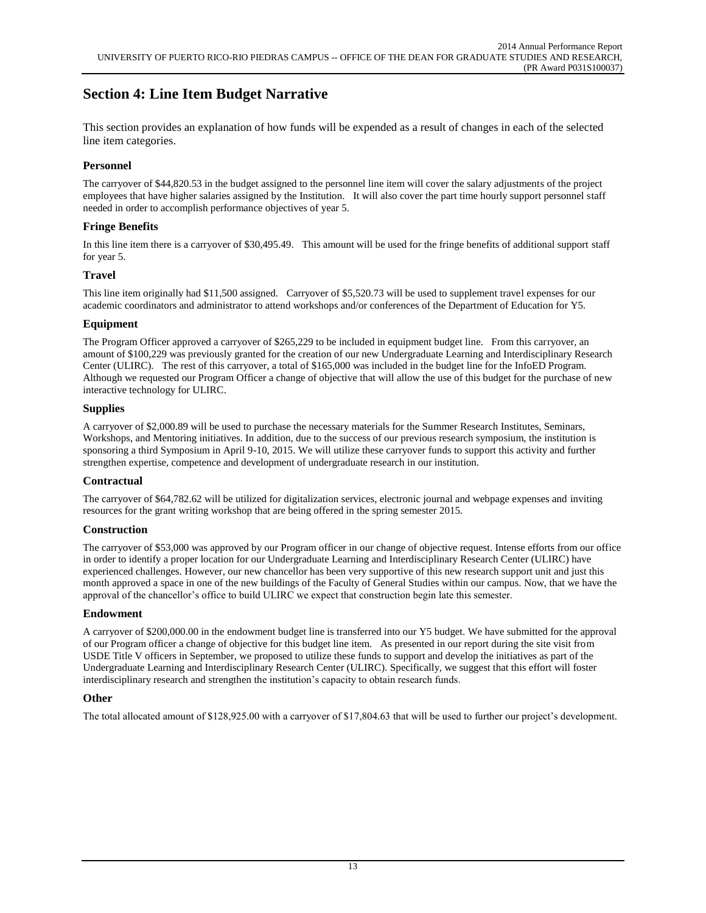# **Section 4: Line Item Budget Narrative**

This section provides an explanation of how funds will be expended as a result of changes in each of the selected line item categories.

### **Personnel**

The carryover of \$44,820.53 in the budget assigned to the personnel line item will cover the salary adjustments of the project employees that have higher salaries assigned by the Institution. It will also cover the part time hourly support personnel staff needed in order to accomplish performance objectives of year 5.

### **Fringe Benefits**

In this line item there is a carryover of \$30,495.49. This amount will be used for the fringe benefits of additional support staff for year 5.

### **Travel**

This line item originally had \$11,500 assigned. Carryover of \$5,520.73 will be used to supplement travel expenses for our academic coordinators and administrator to attend workshops and/or conferences of the Department of Education for Y5.

### **Equipment**

The Program Officer approved a carryover of \$265,229 to be included in equipment budget line. From this carryover, an amount of \$100,229 was previously granted for the creation of our new Undergraduate Learning and Interdisciplinary Research Center (ULIRC). The rest of this carryover, a total of \$165,000 was included in the budget line for the InfoED Program. Although we requested our Program Officer a change of objective that will allow the use of this budget for the purchase of new interactive technology for ULIRC.

### **Supplies**

A carryover of \$2,000.89 will be used to purchase the necessary materials for the Summer Research Institutes, Seminars, Workshops, and Mentoring initiatives. In addition, due to the success of our previous research symposium, the institution is sponsoring a third Symposium in April 9-10, 2015. We will utilize these carryover funds to support this activity and further strengthen expertise, competence and development of undergraduate research in our institution.

### **Contractual**

The carryover of \$64,782.62 will be utilized for digitalization services, electronic journal and webpage expenses and inviting resources for the grant writing workshop that are being offered in the spring semester 2015.

### **Construction**

The carryover of \$53,000 was approved by our Program officer in our change of objective request. Intense efforts from our office in order to identify a proper location for our Undergraduate Learning and Interdisciplinary Research Center (ULIRC) have experienced challenges. However, our new chancellor has been very supportive of this new research support unit and just this month approved a space in one of the new buildings of the Faculty of General Studies within our campus. Now, that we have the approval of the chancellor's office to build ULIRC we expect that construction begin late this semester.

### **Endowment**

A carryover of \$200,000.00 in the endowment budget line is transferred into our Y5 budget. We have submitted for the approval of our Program officer a change of objective for this budget line item. As presented in our report during the site visit from USDE Title V officers in September, we proposed to utilize these funds to support and develop the initiatives as part of the Undergraduate Learning and Interdisciplinary Research Center (ULIRC). Specifically, we suggest that this effort will foster interdisciplinary research and strengthen the institution's capacity to obtain research funds.

### **Other**

The total allocated amount of \$128,925.00 with a carryover of \$17,804.63 that will be used to further our project's development.